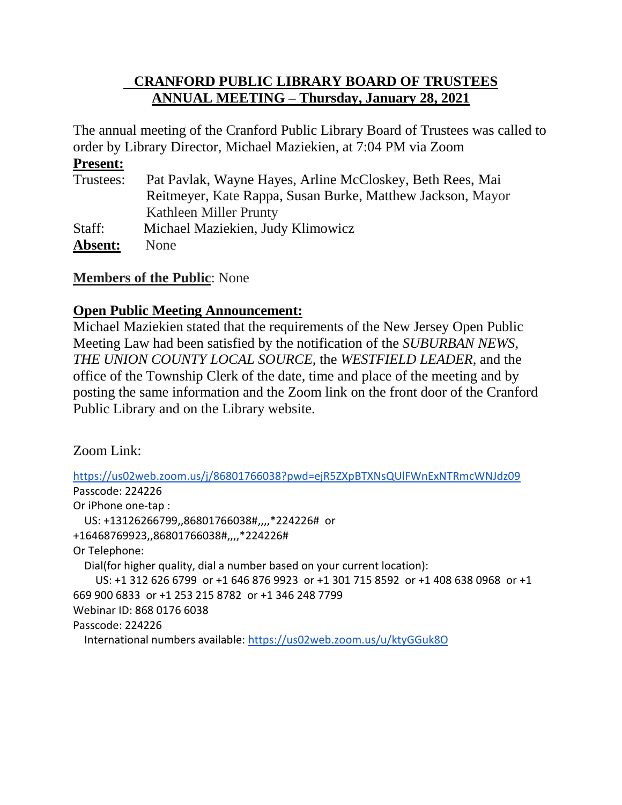# **CRANFORD PUBLIC LIBRARY BOARD OF TRUSTEES ANNUAL MEETING – Thursday, January 28, 2021**

The annual meeting of the Cranford Public Library Board of Trustees was called to order by Library Director, Michael Maziekien, at 7:04 PM via Zoom

### **Present:**

| Trustees: | Pat Pavlak, Wayne Hayes, Arline McCloskey, Beth Rees, Mai  |
|-----------|------------------------------------------------------------|
|           | Reitmeyer, Kate Rappa, Susan Burke, Matthew Jackson, Mayor |
|           | Kathleen Miller Prunty                                     |
| Staff:    | Michael Maziekien, Judy Klimowicz                          |
| Absent:   | None                                                       |

## **Members of the Public**: None

## **Open Public Meeting Announcement:**

Michael Maziekien stated that the requirements of the New Jersey Open Public Meeting Law had been satisfied by the notification of the *SUBURBAN NEWS*, *THE UNION COUNTY LOCAL SOURCE,* the *WESTFIELD LEADER*, and the office of the Township Clerk of the date, time and place of the meeting and by posting the same information and the Zoom link on the front door of the Cranford Public Library and on the Library website.

Zoom Link:

<https://us02web.zoom.us/j/86801766038?pwd=ejR5ZXpBTXNsQUlFWnExNTRmcWNJdz09> Passcode: 224226 Or iPhone one-tap : US: +13126266799,,86801766038#,,,,\*224226# or +16468769923,,86801766038#,,,,\*224226# Or Telephone: Dial(for higher quality, dial a number based on your current location): US: +1 312 626 6799 or +1 646 876 9923 or +1 301 715 8592 or +1 408 638 0968 or +1 669 900 6833 or +1 253 215 8782 or +1 346 248 7799 Webinar ID: 868 0176 6038 Passcode: 224226 International numbers available: <https://us02web.zoom.us/u/ktyGGuk8O>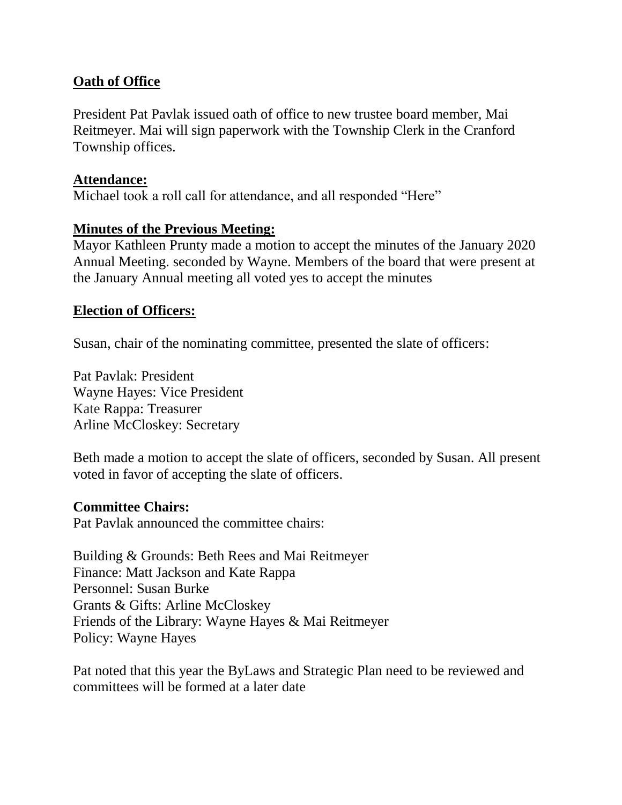## **Oath of Office**

President Pat Pavlak issued oath of office to new trustee board member, Mai Reitmeyer. Mai will sign paperwork with the Township Clerk in the Cranford Township offices.

#### **Attendance:**

Michael took a roll call for attendance, and all responded "Here"

### **Minutes of the Previous Meeting:**

Mayor Kathleen Prunty made a motion to accept the minutes of the January 2020 Annual Meeting. seconded by Wayne. Members of the board that were present at the January Annual meeting all voted yes to accept the minutes

#### **Election of Officers:**

Susan, chair of the nominating committee, presented the slate of officers:

Pat Pavlak: President Wayne Hayes: Vice President Kate Rappa: Treasurer Arline McCloskey: Secretary

Beth made a motion to accept the slate of officers, seconded by Susan. All present voted in favor of accepting the slate of officers.

#### **Committee Chairs:**

Pat Pavlak announced the committee chairs:

Building & Grounds: Beth Rees and Mai Reitmeyer Finance: Matt Jackson and Kate Rappa Personnel: Susan Burke Grants & Gifts: Arline McCloskey Friends of the Library: Wayne Hayes & Mai Reitmeyer Policy: Wayne Hayes

Pat noted that this year the ByLaws and Strategic Plan need to be reviewed and committees will be formed at a later date